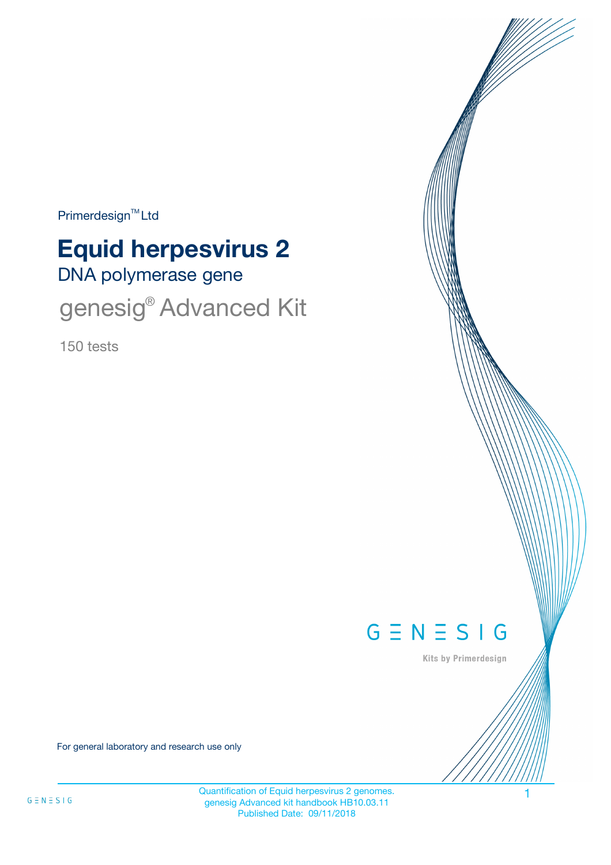Primerdesign<sup>™</sup>Ltd

# DNA polymerase gene **Equid herpesvirus 2**

genesig® Advanced Kit

150 tests



Kits by Primerdesign

For general laboratory and research use only

Quantification of Equid herpesvirus 2 genomes. 1 genesig Advanced kit handbook HB10.03.11 Published Date: 09/11/2018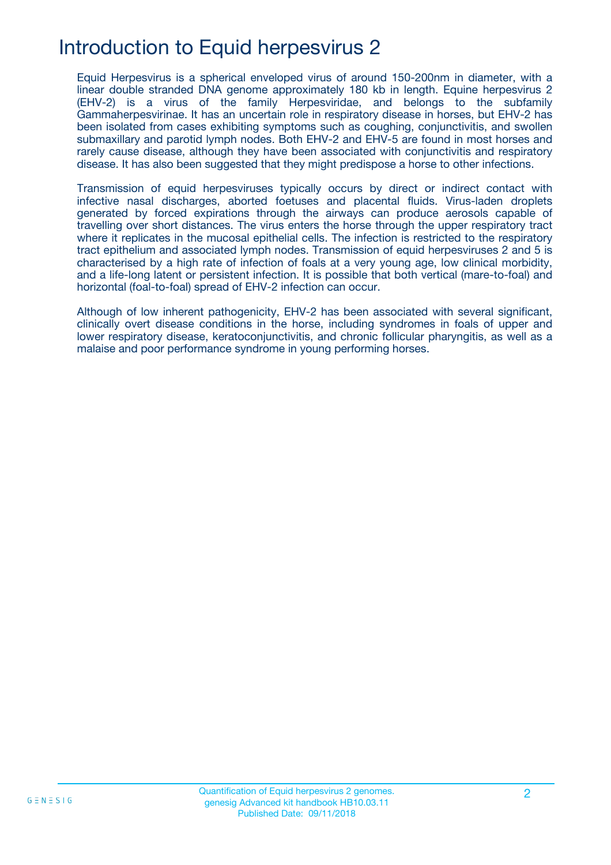## Introduction to Equid herpesvirus 2

Equid Herpesvirus is a spherical enveloped virus of around 150-200nm in diameter, with a linear double stranded DNA genome approximately 180 kb in length. Equine herpesvirus 2 (EHV-2) is a virus of the family Herpesviridae, and belongs to the subfamily Gammaherpesvirinae. It has an uncertain role in respiratory disease in horses, but EHV-2 has been isolated from cases exhibiting symptoms such as coughing, conjunctivitis, and swollen submaxillary and parotid lymph nodes. Both EHV-2 and EHV-5 are found in most horses and rarely cause disease, although they have been associated with conjunctivitis and respiratory disease. It has also been suggested that they might predispose a horse to other infections.

Transmission of equid herpesviruses typically occurs by direct or indirect contact with infective nasal discharges, aborted foetuses and placental fluids. Virus-laden droplets generated by forced expirations through the airways can produce aerosols capable of travelling over short distances. The virus enters the horse through the upper respiratory tract where it replicates in the mucosal epithelial cells. The infection is restricted to the respiratory tract epithelium and associated lymph nodes. Transmission of equid herpesviruses 2 and 5 is characterised by a high rate of infection of foals at a very young age, low clinical morbidity, and a life-long latent or persistent infection. It is possible that both vertical (mare-to-foal) and horizontal (foal-to-foal) spread of EHV-2 infection can occur.

Although of low inherent pathogenicity, EHV-2 has been associated with several significant, clinically overt disease conditions in the horse, including syndromes in foals of upper and lower respiratory disease, keratoconjunctivitis, and chronic follicular pharyngitis, as well as a malaise and poor performance syndrome in young performing horses.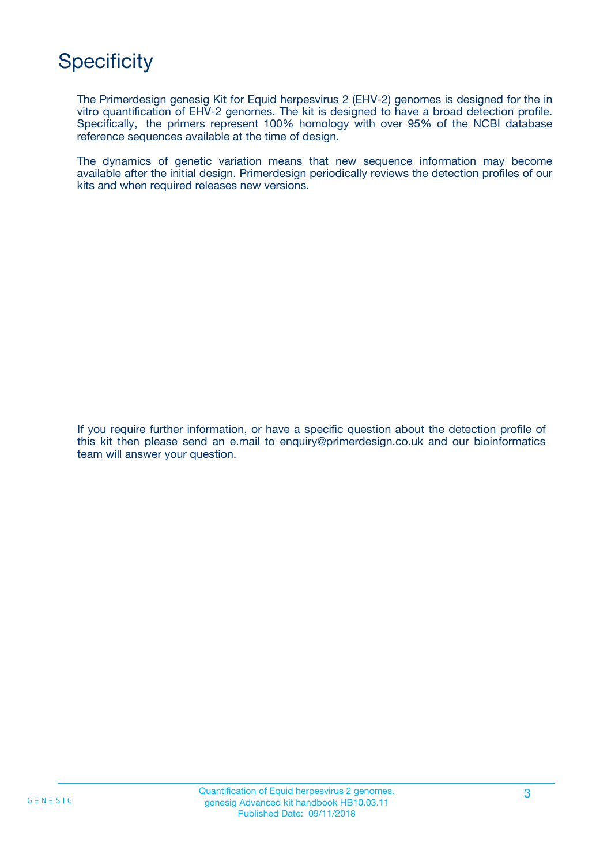## **Specificity**

The Primerdesign genesig Kit for Equid herpesvirus 2 (EHV-2) genomes is designed for the in vitro quantification of EHV-2 genomes. The kit is designed to have a broad detection profile. Specifically, the primers represent 100% homology with over 95% of the NCBI database reference sequences available at the time of design.

The dynamics of genetic variation means that new sequence information may become available after the initial design. Primerdesign periodically reviews the detection profiles of our kits and when required releases new versions.

If you require further information, or have a specific question about the detection profile of this kit then please send an e.mail to enquiry@primerdesign.co.uk and our bioinformatics team will answer your question.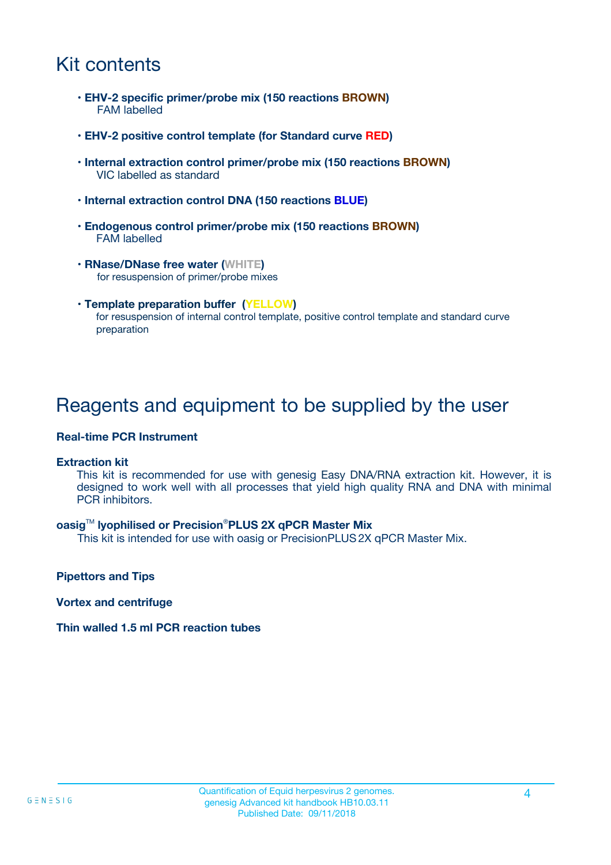## Kit contents

- **EHV-2 specific primer/probe mix (150 reactions BROWN)** FAM labelled
- **EHV-2 positive control template (for Standard curve RED)**
- **Internal extraction control primer/probe mix (150 reactions BROWN)** VIC labelled as standard
- **Internal extraction control DNA (150 reactions BLUE)**
- **Endogenous control primer/probe mix (150 reactions BROWN)** FAM labelled
- **RNase/DNase free water (WHITE)** for resuspension of primer/probe mixes
- **Template preparation buffer (YELLOW)** for resuspension of internal control template, positive control template and standard curve preparation

### Reagents and equipment to be supplied by the user

#### **Real-time PCR Instrument**

#### **Extraction kit**

This kit is recommended for use with genesig Easy DNA/RNA extraction kit. However, it is designed to work well with all processes that yield high quality RNA and DNA with minimal PCR inhibitors.

#### **oasig**TM **lyophilised or Precision**®**PLUS 2X qPCR Master Mix**

This kit is intended for use with oasig or PrecisionPLUS2X qPCR Master Mix.

**Pipettors and Tips**

**Vortex and centrifuge**

#### **Thin walled 1.5 ml PCR reaction tubes**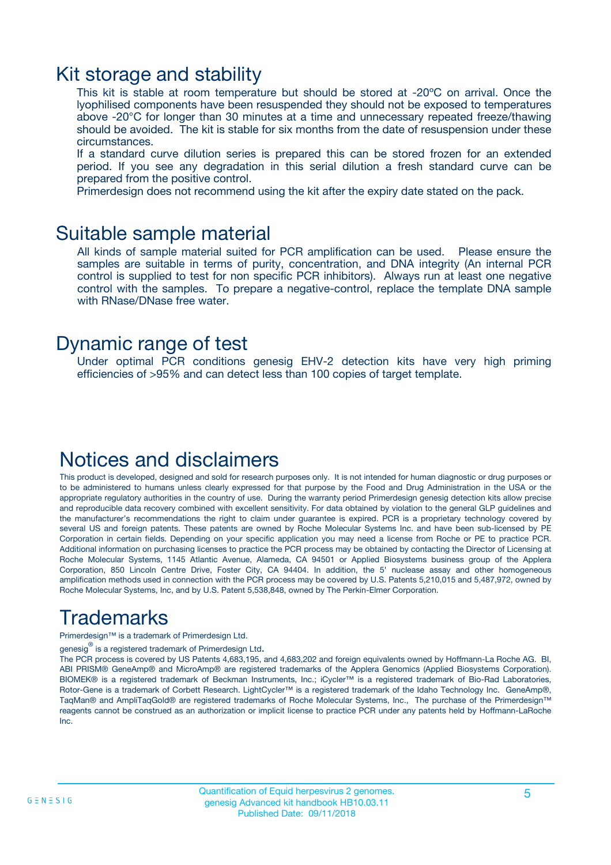### Kit storage and stability

This kit is stable at room temperature but should be stored at -20ºC on arrival. Once the lyophilised components have been resuspended they should not be exposed to temperatures above -20°C for longer than 30 minutes at a time and unnecessary repeated freeze/thawing should be avoided. The kit is stable for six months from the date of resuspension under these circumstances.

If a standard curve dilution series is prepared this can be stored frozen for an extended period. If you see any degradation in this serial dilution a fresh standard curve can be prepared from the positive control.

Primerdesign does not recommend using the kit after the expiry date stated on the pack.

### Suitable sample material

All kinds of sample material suited for PCR amplification can be used. Please ensure the samples are suitable in terms of purity, concentration, and DNA integrity (An internal PCR control is supplied to test for non specific PCR inhibitors). Always run at least one negative control with the samples. To prepare a negative-control, replace the template DNA sample with RNase/DNase free water.

### Dynamic range of test

Under optimal PCR conditions genesig EHV-2 detection kits have very high priming efficiencies of >95% and can detect less than 100 copies of target template.

## Notices and disclaimers

This product is developed, designed and sold for research purposes only. It is not intended for human diagnostic or drug purposes or to be administered to humans unless clearly expressed for that purpose by the Food and Drug Administration in the USA or the appropriate regulatory authorities in the country of use. During the warranty period Primerdesign genesig detection kits allow precise and reproducible data recovery combined with excellent sensitivity. For data obtained by violation to the general GLP guidelines and the manufacturer's recommendations the right to claim under guarantee is expired. PCR is a proprietary technology covered by several US and foreign patents. These patents are owned by Roche Molecular Systems Inc. and have been sub-licensed by PE Corporation in certain fields. Depending on your specific application you may need a license from Roche or PE to practice PCR. Additional information on purchasing licenses to practice the PCR process may be obtained by contacting the Director of Licensing at Roche Molecular Systems, 1145 Atlantic Avenue, Alameda, CA 94501 or Applied Biosystems business group of the Applera Corporation, 850 Lincoln Centre Drive, Foster City, CA 94404. In addition, the 5' nuclease assay and other homogeneous amplification methods used in connection with the PCR process may be covered by U.S. Patents 5,210,015 and 5,487,972, owned by Roche Molecular Systems, Inc, and by U.S. Patent 5,538,848, owned by The Perkin-Elmer Corporation.

## Trademarks

Primerdesign™ is a trademark of Primerdesign Ltd.

genesig $^\circledR$  is a registered trademark of Primerdesign Ltd.

The PCR process is covered by US Patents 4,683,195, and 4,683,202 and foreign equivalents owned by Hoffmann-La Roche AG. BI, ABI PRISM® GeneAmp® and MicroAmp® are registered trademarks of the Applera Genomics (Applied Biosystems Corporation). BIOMEK® is a registered trademark of Beckman Instruments, Inc.; iCycler™ is a registered trademark of Bio-Rad Laboratories, Rotor-Gene is a trademark of Corbett Research. LightCycler™ is a registered trademark of the Idaho Technology Inc. GeneAmp®, TaqMan® and AmpliTaqGold® are registered trademarks of Roche Molecular Systems, Inc., The purchase of the Primerdesign™ reagents cannot be construed as an authorization or implicit license to practice PCR under any patents held by Hoffmann-LaRoche Inc.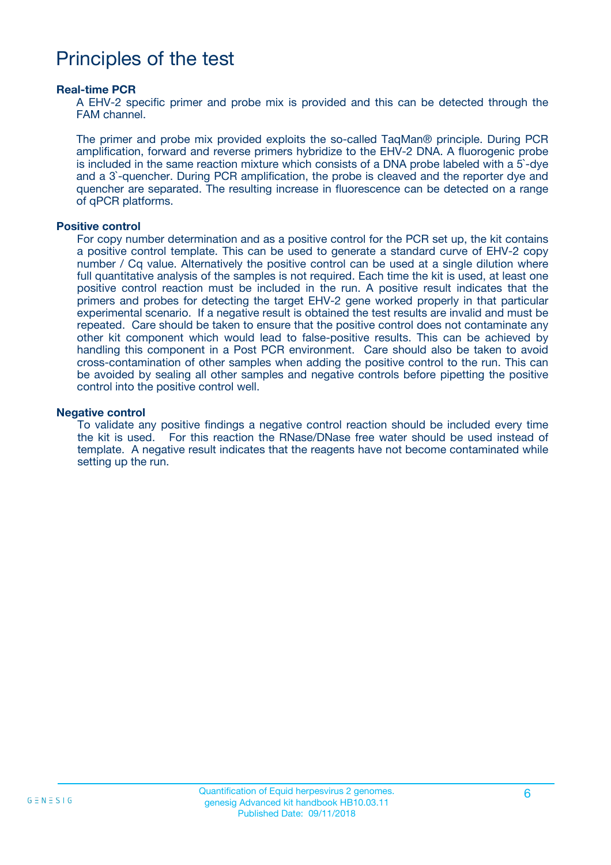### Principles of the test

#### **Real-time PCR**

A EHV-2 specific primer and probe mix is provided and this can be detected through the FAM channel.

The primer and probe mix provided exploits the so-called TaqMan® principle. During PCR amplification, forward and reverse primers hybridize to the EHV-2 DNA. A fluorogenic probe is included in the same reaction mixture which consists of a DNA probe labeled with a 5`-dye and a 3`-quencher. During PCR amplification, the probe is cleaved and the reporter dye and quencher are separated. The resulting increase in fluorescence can be detected on a range of qPCR platforms.

#### **Positive control**

For copy number determination and as a positive control for the PCR set up, the kit contains a positive control template. This can be used to generate a standard curve of EHV-2 copy number / Cq value. Alternatively the positive control can be used at a single dilution where full quantitative analysis of the samples is not required. Each time the kit is used, at least one positive control reaction must be included in the run. A positive result indicates that the primers and probes for detecting the target EHV-2 gene worked properly in that particular experimental scenario. If a negative result is obtained the test results are invalid and must be repeated. Care should be taken to ensure that the positive control does not contaminate any other kit component which would lead to false-positive results. This can be achieved by handling this component in a Post PCR environment. Care should also be taken to avoid cross-contamination of other samples when adding the positive control to the run. This can be avoided by sealing all other samples and negative controls before pipetting the positive control into the positive control well.

#### **Negative control**

To validate any positive findings a negative control reaction should be included every time the kit is used. For this reaction the RNase/DNase free water should be used instead of template. A negative result indicates that the reagents have not become contaminated while setting up the run.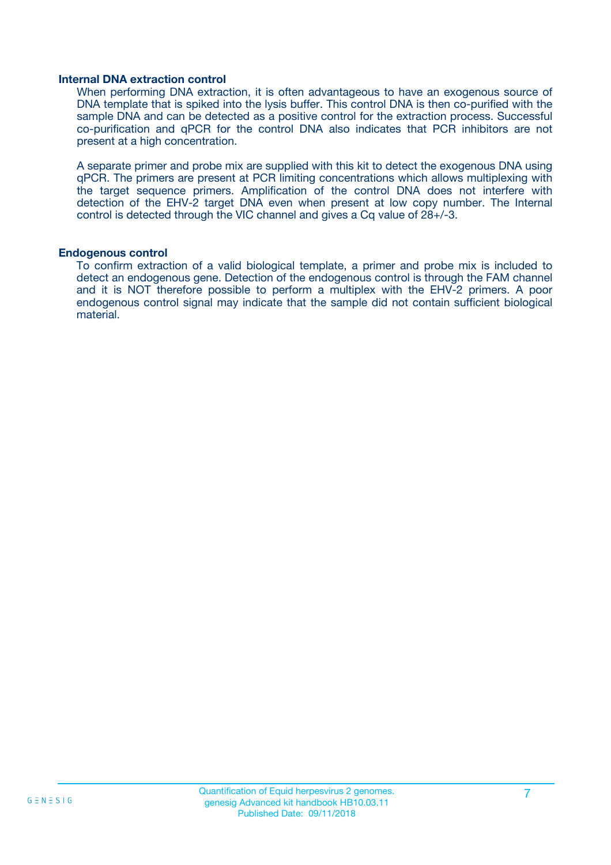#### **Internal DNA extraction control**

When performing DNA extraction, it is often advantageous to have an exogenous source of DNA template that is spiked into the lysis buffer. This control DNA is then co-purified with the sample DNA and can be detected as a positive control for the extraction process. Successful co-purification and qPCR for the control DNA also indicates that PCR inhibitors are not present at a high concentration.

A separate primer and probe mix are supplied with this kit to detect the exogenous DNA using qPCR. The primers are present at PCR limiting concentrations which allows multiplexing with the target sequence primers. Amplification of the control DNA does not interfere with detection of the EHV-2 target DNA even when present at low copy number. The Internal control is detected through the VIC channel and gives a Cq value of 28+/-3.

#### **Endogenous control**

To confirm extraction of a valid biological template, a primer and probe mix is included to detect an endogenous gene. Detection of the endogenous control is through the FAM channel and it is NOT therefore possible to perform a multiplex with the EHV-2 primers. A poor endogenous control signal may indicate that the sample did not contain sufficient biological material.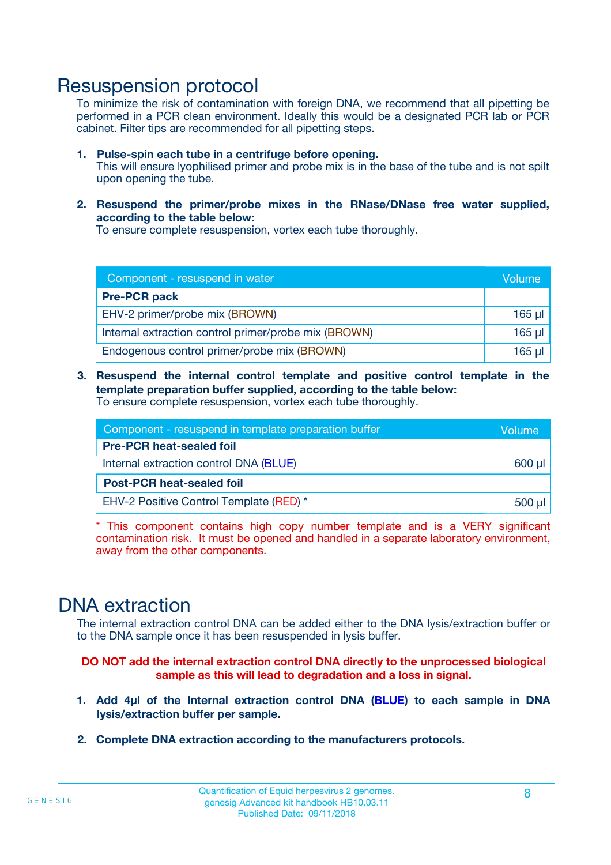### Resuspension protocol

To minimize the risk of contamination with foreign DNA, we recommend that all pipetting be performed in a PCR clean environment. Ideally this would be a designated PCR lab or PCR cabinet. Filter tips are recommended for all pipetting steps.

- **1. Pulse-spin each tube in a centrifuge before opening.** This will ensure lyophilised primer and probe mix is in the base of the tube and is not spilt upon opening the tube.
- **2. Resuspend the primer/probe mixes in the RNase/DNase free water supplied, according to the table below:**

To ensure complete resuspension, vortex each tube thoroughly.

| Component - resuspend in water                       |         |  |
|------------------------------------------------------|---------|--|
| <b>Pre-PCR pack</b>                                  |         |  |
| EHV-2 primer/probe mix (BROWN)                       | $165$ µ |  |
| Internal extraction control primer/probe mix (BROWN) | $165$ µ |  |
| Endogenous control primer/probe mix (BROWN)          | 165 µl  |  |

**3. Resuspend the internal control template and positive control template in the template preparation buffer supplied, according to the table below:** To ensure complete resuspension, vortex each tube thoroughly.

| Component - resuspend in template preparation buffer |          |  |
|------------------------------------------------------|----------|--|
| <b>Pre-PCR heat-sealed foil</b>                      |          |  |
| Internal extraction control DNA (BLUE)               |          |  |
| <b>Post-PCR heat-sealed foil</b>                     |          |  |
| EHV-2 Positive Control Template (RED) *              | $500$ µl |  |

\* This component contains high copy number template and is a VERY significant contamination risk. It must be opened and handled in a separate laboratory environment, away from the other components.

### DNA extraction

The internal extraction control DNA can be added either to the DNA lysis/extraction buffer or to the DNA sample once it has been resuspended in lysis buffer.

**DO NOT add the internal extraction control DNA directly to the unprocessed biological sample as this will lead to degradation and a loss in signal.**

- **1. Add 4µl of the Internal extraction control DNA (BLUE) to each sample in DNA lysis/extraction buffer per sample.**
- **2. Complete DNA extraction according to the manufacturers protocols.**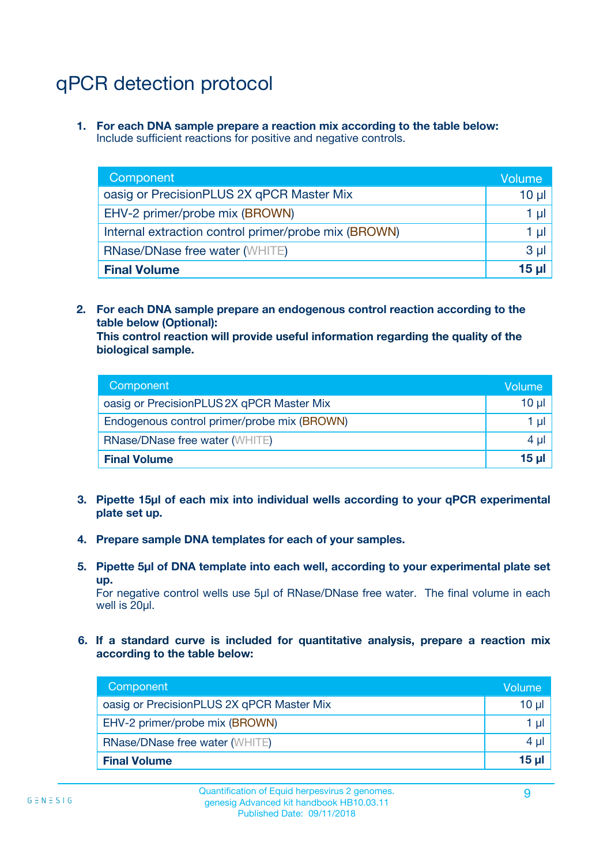## qPCR detection protocol

**1. For each DNA sample prepare a reaction mix according to the table below:** Include sufficient reactions for positive and negative controls.

| Component                                            | Volume   |
|------------------------------------------------------|----------|
| oasig or PrecisionPLUS 2X qPCR Master Mix            | $10 \mu$ |
| EHV-2 primer/probe mix (BROWN)                       | 1 µI     |
| Internal extraction control primer/probe mix (BROWN) | 1 µl     |
| <b>RNase/DNase free water (WHITE)</b>                | $3 \mu$  |
| <b>Final Volume</b>                                  | 15 µl    |

**2. For each DNA sample prepare an endogenous control reaction according to the table below (Optional):**

**This control reaction will provide useful information regarding the quality of the biological sample.**

| Component                                   | Volume          |
|---------------------------------------------|-----------------|
| oasig or PrecisionPLUS 2X qPCR Master Mix   | $10 \mu$        |
| Endogenous control primer/probe mix (BROWN) | 1 µI            |
| <b>RNase/DNase free water (WHITE)</b>       | 4 µl            |
| <b>Final Volume</b>                         | 15 <sub>µ</sub> |

- **3. Pipette 15µl of each mix into individual wells according to your qPCR experimental plate set up.**
- **4. Prepare sample DNA templates for each of your samples.**
- **5. Pipette 5µl of DNA template into each well, according to your experimental plate set up.**

For negative control wells use 5µl of RNase/DNase free water. The final volume in each well is 20ul.

**6. If a standard curve is included for quantitative analysis, prepare a reaction mix according to the table below:**

| Component                                 | Volume  |
|-------------------------------------------|---------|
| oasig or PrecisionPLUS 2X qPCR Master Mix | 10 µl   |
| EHV-2 primer/probe mix (BROWN)            | 1 µI    |
| <b>RNase/DNase free water (WHITE)</b>     | $4 \mu$ |
| <b>Final Volume</b>                       | 15 µl   |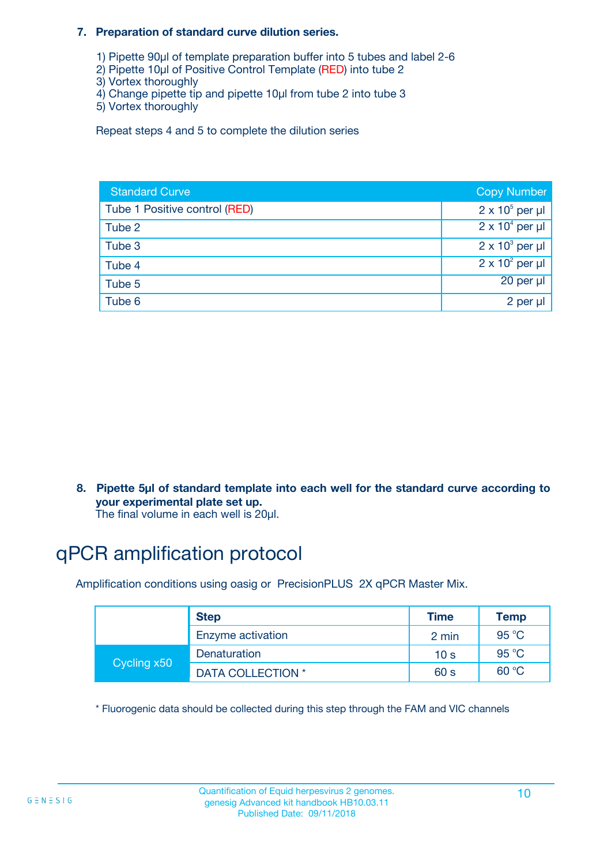#### **7. Preparation of standard curve dilution series.**

- 1) Pipette 90µl of template preparation buffer into 5 tubes and label 2-6
- 2) Pipette 10µl of Positive Control Template (RED) into tube 2
- 3) Vortex thoroughly
- 4) Change pipette tip and pipette 10µl from tube 2 into tube 3
- 5) Vortex thoroughly

Repeat steps 4 and 5 to complete the dilution series

| <b>Standard Curve</b>         | <b>Copy Number</b>     |
|-------------------------------|------------------------|
| Tube 1 Positive control (RED) | $2 \times 10^5$ per µl |
| Tube 2                        | $2 \times 10^4$ per µl |
| Tube 3                        | $2 \times 10^3$ per µl |
| Tube 4                        | $2 \times 10^2$ per µl |
| Tube 5                        | 20 per µl              |
| Tube 6                        | 2 per µl               |

**8. Pipette 5µl of standard template into each well for the standard curve according to your experimental plate set up.**

#### The final volume in each well is 20µl.

## qPCR amplification protocol

Amplification conditions using oasig or PrecisionPLUS 2X qPCR Master Mix.

|             | <b>Step</b>       | <b>Time</b>     | Temp    |
|-------------|-------------------|-----------------|---------|
|             | Enzyme activation | 2 min           | 95 °C   |
| Cycling x50 | Denaturation      | 10 <sub>s</sub> | 95 $°C$ |
|             | DATA COLLECTION * | 60 s            | 60 °C   |

\* Fluorogenic data should be collected during this step through the FAM and VIC channels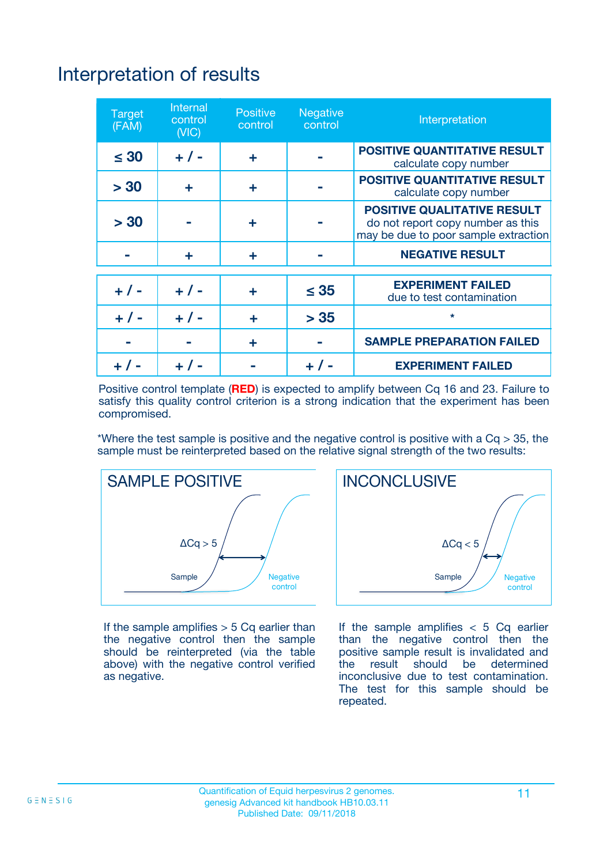# Interpretation of results

| <b>Target</b><br>(FAM) | <b>Internal</b><br>control<br>(NIC) | <b>Positive</b><br>control | <b>Negative</b><br>control | Interpretation                                                                                                  |
|------------------------|-------------------------------------|----------------------------|----------------------------|-----------------------------------------------------------------------------------------------------------------|
| $\leq 30$              | $+ 1 -$                             | ÷                          |                            | <b>POSITIVE QUANTITATIVE RESULT</b><br>calculate copy number                                                    |
| > 30                   | ٠                                   | ÷                          |                            | <b>POSITIVE QUANTITATIVE RESULT</b><br>calculate copy number                                                    |
| > 30                   |                                     | ÷                          |                            | <b>POSITIVE QUALITATIVE RESULT</b><br>do not report copy number as this<br>may be due to poor sample extraction |
|                        | ÷                                   | ÷                          |                            | <b>NEGATIVE RESULT</b>                                                                                          |
| $+ 1 -$                | $+ 1 -$                             | ÷                          | $\leq$ 35                  | <b>EXPERIMENT FAILED</b><br>due to test contamination                                                           |
| $+$ / -                | $+ 1 -$                             | ÷                          | > 35                       | $\star$                                                                                                         |
|                        |                                     | ÷                          |                            | <b>SAMPLE PREPARATION FAILED</b>                                                                                |
|                        |                                     |                            | $+$ /                      | <b>EXPERIMENT FAILED</b>                                                                                        |

Positive control template (**RED**) is expected to amplify between Cq 16 and 23. Failure to satisfy this quality control criterion is a strong indication that the experiment has been compromised.

\*Where the test sample is positive and the negative control is positive with a  $Ca > 35$ , the sample must be reinterpreted based on the relative signal strength of the two results:



If the sample amplifies  $> 5$  Cq earlier than the negative control then the sample should be reinterpreted (via the table above) with the negative control verified as negative.



If the sample amplifies  $< 5$  Cq earlier than the negative control then the positive sample result is invalidated and<br>the result should be determined  $the$  result should be inconclusive due to test contamination. The test for this sample should be repeated.